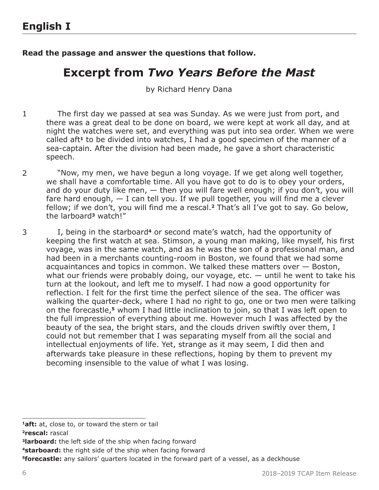# **Read the passage and answer the questions that follow.**

# **Excerpt from** *Two Years Before the Mast*

by Richard Henry Dana

- 1 The first day we passed at sea was Sunday. As we were just from port, and there was a great deal to be done on board, we were kept at work all day, and at night the watches were set, and everything was put into sea order. When we were called aft**1** to be divided into watches, I had a good specimen of the manner of a sea-captain. After the division had been made, he gave a short characteristic speech.
- 2 "Now, my men, we have begun a long voyage. If we get along well together, we shall have a comfortable time. All you have got to do is to obey your orders, and do your duty like men, — then you will fare well enough; if you don't, you will fare hard enough, - I can tell you. If we pull together, you will find me a clever fellow; if we don't, you will find me a rescal.**2** That's all I've got to say. Go below, the larboard**3** watch!"
- 3 I, being in the starboard**4** or second mate's watch, had the opportunity of keeping the first watch at sea. Stimson, a young man making, like myself, his first voyage, was in the same watch, and as he was the son of a professional man, and had been in a merchants counting-room in Boston, we found that we had some acquaintances and topics in common. We talked these matters over — Boston, what our friends were probably doing, our voyage, etc.  $-$  until he went to take his turn at the lookout, and left me to myself. I had now a good opportunity for reflection. I felt for the first time the perfect silence of the sea. The officer was walking the quarter-deck, where I had no right to go, one or two men were talking on the forecastle,**5** whom I had little inclination to join, so that I was left open to the full impression of everything about me. However much I was affected by the beauty of the sea, the bright stars, and the clouds driven swiftly over them, I could not but remember that I was separating myself from all the social and intellectual enjoyments of life. Yet, strange as it may seem, I did then and afterwards take pleasure in these reflections, hoping by them to prevent my becoming insensible to the value of what I was losing.

**1aft:** at, close to, or toward the stern or tail

**2rescal:** rascal

**3larboard:** the left side of the ship when facing forward

**4starboard:** the right side of the ship when facing forward

**<sup>5</sup>forecastle:** any sailors' quarters located in the forward part of a vessel, as a deckhouse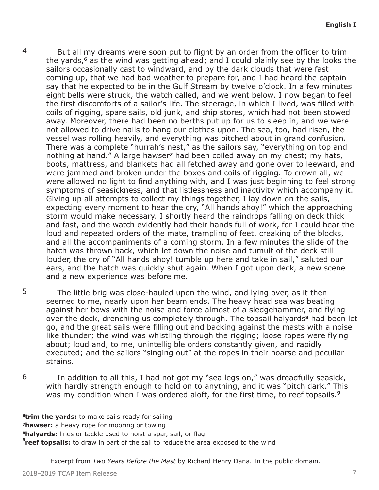4

But all my dreams were soon put to flight by an order from the officer to trim the yards,**6** as the wind was getting ahead; and I could plainly see by the looks the sailors occasionally cast to windward, and by the dark clouds that were fast coming up, that we had bad weather to prepare for, and I had heard the captain say that he expected to be in the Gulf Stream by twelve o'clock. In a few minutes eight bells were struck, the watch called, and we went below. I now began to feel the first discomforts of a sailor's life. The steerage, in which I lived, was filled with coils of rigging, spare sails, old junk, and ship stores, which had not been stowed away. Moreover, there had been no berths put up for us to sleep in, and we were not allowed to drive nails to hang our clothes upon. The sea, too, had risen, the vessel was rolling heavily, and everything was pitched about in grand confusion. There was a complete "hurrah's nest," as the sailors say, "everything on top and nothing at hand." A large hawser**7** had been coiled away on my chest; my hats, boots, mattress, and blankets had all fetched away and gone over to leeward, and were jammed and broken under the boxes and coils of rigging. To crown all, we were allowed no light to find anything with, and I was just beginning to feel strong symptoms of seasickness, and that listlessness and inactivity which accompany it. Giving up all attempts to collect my things together, I lay down on the sails, expecting every moment to hear the cry, "All hands ahoy!" which the approaching storm would make necessary. I shortly heard the raindrops falling on deck thick and fast, and the watch evidently had their hands full of work, for I could hear the loud and repeated orders of the mate, trampling of feet, creaking of the blocks, and all the accompaniments of a coming storm. In a few minutes the slide of the hatch was thrown back, which let down the noise and tumult of the deck still louder, the cry of "All hands ahoy! tumble up here and take in sail," saluted our ears, and the hatch was quickly shut again. When I got upon deck, a new scene and a new experience was before me.

- 5 The little brig was close-hauled upon the wind, and lying over, as it then seemed to me, nearly upon her beam ends. The heavy head sea was beating against her bows with the noise and force almost of a sledgehammer, and flying over the deck, drenching us completely through. The topsail halyards**8** had been let go, and the great sails were filling out and backing against the masts with a noise like thunder; the wind was whistling through the rigging; loose ropes were flying about; loud and, to me, unintelligible orders constantly given, and rapidly executed; and the sailors "singing out" at the ropes in their hoarse and peculiar strains.
- 6 In addition to all this, I had not got my "sea legs on," was dreadfully seasick, with hardly strength enough to hold on to anything, and it was "pitch dark." This was my condition when I was ordered aloft, for the first time, to reef topsails.**<sup>9</sup>**

**<sup>6</sup>trim the yards:** to make sails ready for sailing

**<sup>7</sup>hawser:** a heavy rope for mooring or towing

**<sup>8</sup>halyards:** lines or tackle used to hoist a spar, sail, or flag

**<sup>9</sup> reef topsails:** to draw in part of the sail to reduce the area exposed to the wind

Excerpt from *Two Years Before the Mast* by Richard Henry Dana. In the public domain.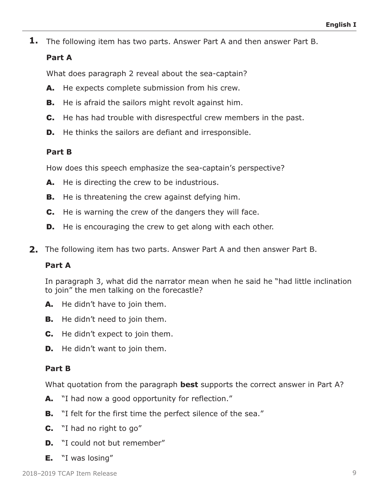The following item has two parts. Answer Part A and then answer Part B. **1.**

# **Part A**

What does paragraph 2 reveal about the sea-captain?

- A. He expects complete submission from his crew.
- **B.** He is afraid the sailors might revolt against him.
- C. He has had trouble with disrespectful crew members in the past.
- **D.** He thinks the sailors are defiant and irresponsible.

# **Part B**

How does this speech emphasize the sea-captain's perspective?

- A. He is directing the crew to be industrious.
- **B.** He is threatening the crew against defying him.
- **C.** He is warning the crew of the dangers they will face.
- **D.** He is encouraging the crew to get along with each other.
- **2.** The following item has two parts. Answer Part A and then answer Part B.

# **Part A**

In paragraph 3, what did the narrator mean when he said he "had little inclination to join" the men talking on the forecastle?

- A. He didn't have to join them.
- **B.** He didn't need to join them.
- **C.** He didn't expect to join them.
- **D.** He didn't want to join them.

# **Part B**

What quotation from the paragraph **best** supports the correct answer in Part A?

- A. "I had now a good opportunity for reflection."
- **B.** "I felt for the first time the perfect silence of the sea."
- **C.** "I had no right to go"
- **D.** "I could not but remember"
- **E.** "I was losing"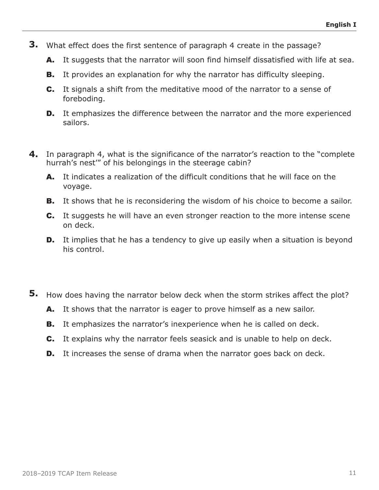- What effect does the first sentence of paragraph 4 create in the passage? **3.**
	- A. It suggests that the narrator will soon find himself dissatisfied with life at sea.
	- **B.** It provides an explanation for why the narrator has difficulty sleeping.
	- C. It signals a shift from the meditative mood of the narrator to a sense of foreboding.
	- **D.** It emphasizes the difference between the narrator and the more experienced sailors.
- In paragraph 4, what is the significance of the narrator's reaction to the "complete hurrah's nest'" of his belongings in the steerage cabin? **4.**
	- A. It indicates a realization of the difficult conditions that he will face on the voyage.
	- **B.** It shows that he is reconsidering the wisdom of his choice to become a sailor.
	- C. It suggests he will have an even stronger reaction to the more intense scene on deck.
	- **D.** It implies that he has a tendency to give up easily when a situation is beyond his control.
- **5.** How does having the narrator below deck when the storm strikes affect the plot?
	- **A.** It shows that the narrator is eager to prove himself as a new sailor.
	- **B.** It emphasizes the narrator's inexperience when he is called on deck.
	- **C.** It explains why the narrator feels seasick and is unable to help on deck.
	- **D.** It increases the sense of drama when the narrator goes back on deck.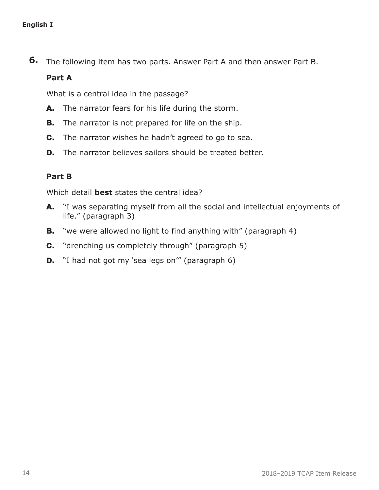The following item has two parts. Answer Part A and then answer Part B. **6.**

#### **Part A**

What is a central idea in the passage?

- A. The narrator fears for his life during the storm.
- **B.** The narrator is not prepared for life on the ship.
- **C.** The narrator wishes he hadn't agreed to go to sea.
- **D.** The narrator believes sailors should be treated better.

## **Part B**

Which detail **best** states the central idea?

- A. "I was separating myself from all the social and intellectual enjoyments of life." (paragraph 3)
- **B.** "we were allowed no light to find anything with" (paragraph 4)
- **C.** "drenching us completely through" (paragraph 5)
- **D.** "I had not got my 'sea legs on'" (paragraph 6)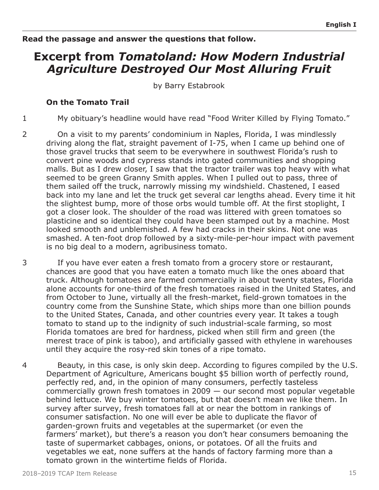**Read the passage and answer the questions that follow.**

# **Excerpt from** *Tomatoland: How Modern Industrial Agriculture Destroyed Our Most Alluring Fruit*

by Barry Estabrook

# **On the Tomato Trail**

- 1
- My obituary's headline would have read "Food Writer Killed by Flying Tomato."
- 2 On a visit to my parents' condominium in Naples, Florida, I was mindlessly driving along the flat, straight pavement of I-75, when I came up behind one of those gravel trucks that seem to be everywhere in southwest Florida's rush to convert pine woods and cypress stands into gated communities and shopping malls. But as I drew closer, I saw that the tractor trailer was top heavy with what seemed to be green Granny Smith apples. When I pulled out to pass, three of them sailed off the truck, narrowly missing my windshield. Chastened, I eased back into my lane and let the truck get several car lengths ahead. Every time it hit the slightest bump, more of those orbs would tumble off. At the first stoplight, I got a closer look. The shoulder of the road was littered with green tomatoes so plasticine and so identical they could have been stamped out by a machine. Most looked smooth and unblemished. A few had cracks in their skins. Not one was smashed. A ten-foot drop followed by a sixty-mile-per-hour impact with pavement is no big deal to a modern, agribusiness tomato.
- 3 If you have ever eaten a fresh tomato from a grocery store or restaurant, chances are good that you have eaten a tomato much like the ones aboard that truck. Although tomatoes are farmed commercially in about twenty states, Florida alone accounts for one-third of the fresh tomatoes raised in the United States, and from October to June, virtually all the fresh-market, field-grown tomatoes in the country come from the Sunshine State, which ships more than one billion pounds to the United States, Canada, and other countries every year. It takes a tough tomato to stand up to the indignity of such industrial-scale farming, so most Florida tomatoes are bred for hardness, picked when still firm and green (the merest trace of pink is taboo), and artificially gassed with ethylene in warehouses until they acquire the rosy-red skin tones of a ripe tomato.
- 4 Beauty, in this case, is only skin deep. According to figures compiled by the U.S. Department of Agriculture, Americans bought \$5 billion worth of perfectly round, perfectly red, and, in the opinion of many consumers, perfectly tasteless commercially grown fresh tomatoes in 2009 — our second most popular vegetable behind lettuce. We buy winter tomatoes, but that doesn't mean we like them. In survey after survey, fresh tomatoes fall at or near the bottom in rankings of consumer satisfaction. No one will ever be able to duplicate the flavor of garden-grown fruits and vegetables at the supermarket (or even the farmers' market), but there's a reason you don't hear consumers bemoaning the taste of supermarket cabbages, onions, or potatoes. Of all the fruits and vegetables we eat, none suffers at the hands of factory farming more than a tomato grown in the wintertime fields of Florida.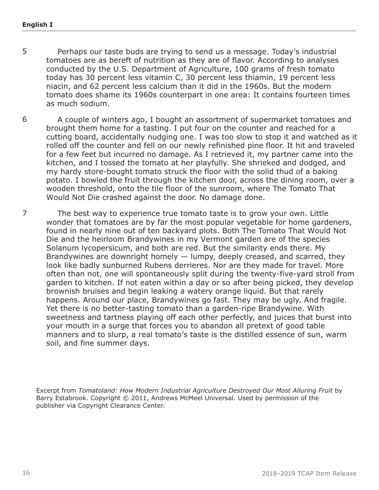- 5 Perhaps our taste buds are trying to send us a message. Today's industrial tomatoes are as bereft of nutrition as they are of flavor. According to analyses conducted by the U.S. Department of Agriculture, 100 grams of fresh tomato today has 30 percent less vitamin C, 30 percent less thiamin, 19 percent less niacin, and 62 percent less calcium than it did in the 1960s. But the modern tomato does shame its 1960s counterpart in one area: It contains fourteen times as much sodium.
- 6 A couple of winters ago, I bought an assortment of supermarket tomatoes and brought them home for a tasting. I put four on the counter and reached for a cutting board, accidentally nudging one. I was too slow to stop it and watched as it rolled off the counter and fell on our newly refinished pine floor. It hit and traveled for a few feet but incurred no damage. As I retrieved it, my partner came into the kitchen, and I tossed the tomato at her playfully. She shrieked and dodged, and my hardy store-bought tomato struck the floor with the solid thud of a baking potato. I bowled the fruit through the kitchen door, across the dining room, over a wooden threshold, onto the tile floor of the sunroom, where The Tomato That Would Not Die crashed against the door. No damage done.
- 7 The best way to experience true tomato taste is to grow your own. Little wonder that tomatoes are by far the most popular vegetable for home gardeners, found in nearly nine out of ten backyard plots. Both The Tomato That Would Not Die and the heirloom Brandywines in my Vermont garden are of the species Solanum lycopersicum, and both are red. But the similarity ends there. My Brandywines are downright homely — lumpy, deeply creased, and scarred, they look like badly sunburned Rubens derrieres. Nor are they made for travel. More often than not, one will spontaneously split during the twenty-five-yard stroll from garden to kitchen. If not eaten within a day or so after being picked, they develop brownish bruises and begin leaking a watery orange liquid. But that rarely happens. Around our place, Brandywines go fast. They may be ugly. And fragile. Yet there is no better-tasting tomato than a garden-ripe Brandywine. With sweetness and tartness playing off each other perfectly, and juices that burst into your mouth in a surge that forces you to abandon all pretext of good table manners and to slurp, a real tomato's taste is the distilled essence of sun, warm soil, and fine summer days.

Excerpt from *Tomatoland: How Modern Industrial Agriculture Destroyed Our Most Alluring Fruit* by Barry Estabrook. Copyright © 2011, Andrews McMeel Universal. Used by permission of the publisher via Copyright Clearance Center.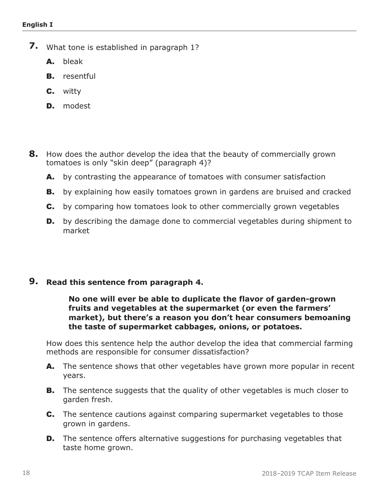- What tone is established in paragraph 1? **7.**
	- A. bleak
	- **B.** resentful
	- C. witty
	- D. modest
- **8.** How does the author develop the idea that the beauty of commercially grown tomatoes is only "skin deep" (paragraph 4)?
	- A. by contrasting the appearance of tomatoes with consumer satisfaction
	- **B.** by explaining how easily tomatoes grown in gardens are bruised and cracked
	- **C.** by comparing how tomatoes look to other commercially grown vegetables
	- **D.** by describing the damage done to commercial vegetables during shipment to market
- **Read this sentence from paragraph 4. 9.**

**No one will ever be able to duplicate the flavor of garden-grown fruits and vegetables at the supermarket (or even the farmers' market), but there's a reason you don't hear consumers bemoaning the taste of supermarket cabbages, onions, or potatoes.**

How does this sentence help the author develop the idea that commercial farming methods are responsible for consumer dissatisfaction?

- **A.** The sentence shows that other vegetables have grown more popular in recent years.
- **B.** The sentence suggests that the quality of other vegetables is much closer to garden fresh.
- **C.** The sentence cautions against comparing supermarket vegetables to those grown in gardens.
- **D.** The sentence offers alternative suggestions for purchasing vegetables that taste home grown.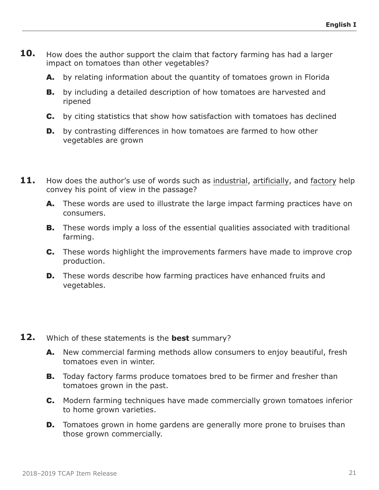- How does the author support the claim that factory farming has had a larger impact on tomatoes than other vegetables? **10.**
	- A. by relating information about the quantity of tomatoes grown in Florida
	- **B.** by including a detailed description of how tomatoes are harvested and ripened
	- C. by citing statistics that show how satisfaction with tomatoes has declined
	- **D.** by contrasting differences in how tomatoes are farmed to how other vegetables are grown
- How does the author's use of words such as industrial, artificially, and factory help convey his point of view in the passage? **11.**
	- A. These words are used to illustrate the large impact farming practices have on consumers.
	- **B.** These words imply a loss of the essential qualities associated with traditional farming.
	- **C.** These words highlight the improvements farmers have made to improve crop production.
	- **D.** These words describe how farming practices have enhanced fruits and vegetables.
- Which of these statements is the **best** summary? **12.**
	- A. New commercial farming methods allow consumers to enjoy beautiful, fresh tomatoes even in winter.
	- **B.** Today factory farms produce tomatoes bred to be firmer and fresher than tomatoes grown in the past.
	- **C.** Modern farming techniques have made commercially grown tomatoes inferior to home grown varieties.
	- **D.** Tomatoes grown in home gardens are generally more prone to bruises than those grown commercially.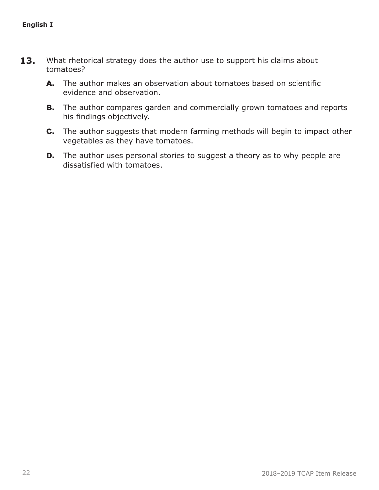- What rhetorical strategy does the author use to support his claims about tomatoes? **13.**
	- A. The author makes an observation about tomatoes based on scientific evidence and observation.
	- **B.** The author compares garden and commercially grown tomatoes and reports his findings objectively.
	- C. The author suggests that modern farming methods will begin to impact other vegetables as they have tomatoes.
	- **D.** The author uses personal stories to suggest a theory as to why people are dissatisfied with tomatoes.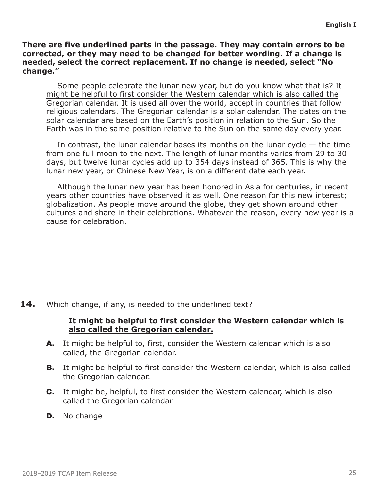#### **There are five underlined parts in the passage. They may contain errors to be corrected, or they may need to be changed for better wording. If a change is needed, select the correct replacement. If no change is needed, select "No change."**

Some people celebrate the lunar new year, but do you know what that is? It might be helpful to first consider the Western calendar which is also called the Gregorian calendar. It is used all over the world, accept in countries that follow religious calendars. The Gregorian calendar is a solar calendar. The dates on the solar calendar are based on the Earth's position in relation to the Sun. So the Earth was in the same position relative to the Sun on the same day every year.

In contrast, the lunar calendar bases its months on the lunar cycle — the time from one full moon to the next. The length of lunar months varies from 29 to 30 days, but twelve lunar cycles add up to 354 days instead of 365. This is why the lunar new year, or Chinese New Year, is on a different date each year.

Although the lunar new year has been honored in Asia for centuries, in recent years other countries have observed it as well. One reason for this new interest; globalization. As people move around the globe, they get shown around other cultures and share in their celebrations. Whatever the reason, every new year is a cause for celebration.

Which change, if any, is needed to the underlined text? **14.**

#### **It might be helpful to first consider the Western calendar which is also called the Gregorian calendar.**

- A. It might be helpful to, first, consider the Western calendar which is also called, the Gregorian calendar.
- **B.** It might be helpful to first consider the Western calendar, which is also called the Gregorian calendar.
- C. It might be, helpful, to first consider the Western calendar, which is also called the Gregorian calendar.
- **D.** No change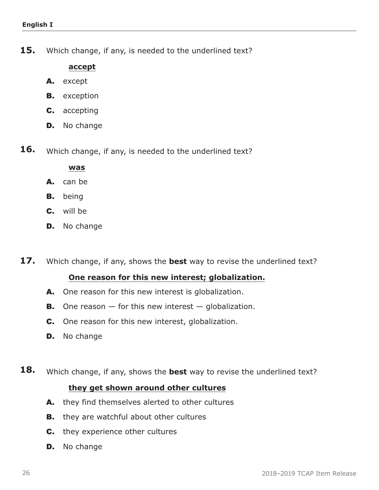Which change, if any, is needed to the underlined text? **15.**

**accept**

- A. except
- **B.** exception
- C. accepting
- **D.** No change
- Which change, if any, is needed to the underlined text? **16.**

#### **was**

- A. can be
- **B.** being
- C. will be
- **D.** No change
- Which change, if any, shows the **best** way to revise the underlined text? **17.**

## **One reason for this new interest; globalization.**

- A. One reason for this new interest is globalization.
- **B.** One reason  $-$  for this new interest  $-$  globalization.
- **C.** One reason for this new interest, globalization.
- **D.** No change
- Which change, if any, shows the **best** way to revise the underlined text? **18.**

# **they get shown around other cultures**

- A. they find themselves alerted to other cultures
- **B.** they are watchful about other cultures
- **C.** they experience other cultures
- **D.** No change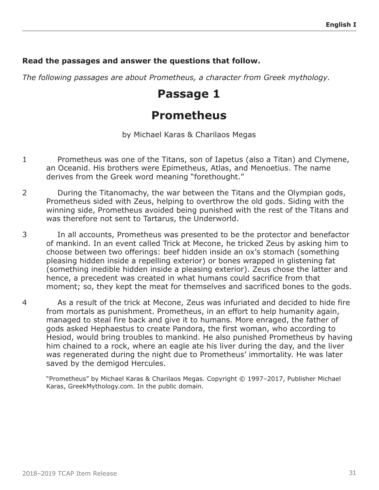# **Read the passages and answer the questions that follow.**

*The following passages are about Prometheus, a character from Greek mythology.*

# **Passage 1**

# **Prometheus**

by Michael Karas & Charilaos Megas

- 1 Prometheus was one of the Titans, son of Iapetus (also a Titan) and Clymene, an Oceanid. His brothers were Epimetheus, Atlas, and Menoetius. The name derives from the Greek word meaning "forethought."
- 2 During the Titanomachy, the war between the Titans and the Olympian gods, Prometheus sided with Zeus, helping to overthrow the old gods. Siding with the winning side, Prometheus avoided being punished with the rest of the Titans and was therefore not sent to Tartarus, the Underworld.
- 3 In all accounts, Prometheus was presented to be the protector and benefactor of mankind. In an event called Trick at Mecone, he tricked Zeus by asking him to choose between two offerings: beef hidden inside an ox's stomach (something pleasing hidden inside a repelling exterior) or bones wrapped in glistening fat (something inedible hidden inside a pleasing exterior). Zeus chose the latter and hence, a precedent was created in what humans could sacrifice from that moment; so, they kept the meat for themselves and sacrificed bones to the gods.
- 4 As a result of the trick at Mecone, Zeus was infuriated and decided to hide fire from mortals as punishment. Prometheus, in an effort to help humanity again, managed to steal fire back and give it to humans. More enraged, the father of gods asked Hephaestus to create Pandora, the first woman, who according to Hesiod, would bring troubles to mankind. He also punished Prometheus by having him chained to a rock, where an eagle ate his liver during the day, and the liver was regenerated during the night due to Prometheus' immortality. He was later saved by the demigod Hercules.

"Prometheus" by Michael Karas & Charilaos Megas. Copyright © 1997–2017, Publisher Michael Karas, GreekMythology.com. In the public domain.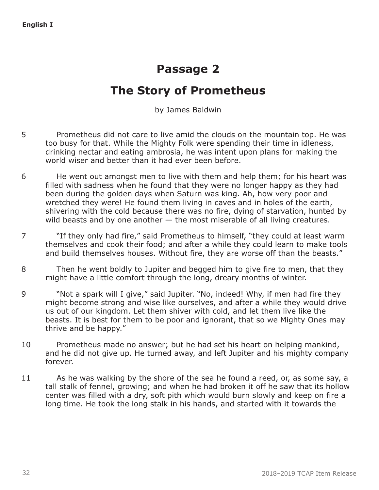# **Passage 2**

# **The Story of Prometheus**

by James Baldwin

- 5 Prometheus did not care to live amid the clouds on the mountain top. He was too busy for that. While the Mighty Folk were spending their time in idleness, drinking nectar and eating ambrosia, he was intent upon plans for making the world wiser and better than it had ever been before.
- 6 He went out amongst men to live with them and help them; for his heart was filled with sadness when he found that they were no longer happy as they had been during the golden days when Saturn was king. Ah, how very poor and wretched they were! He found them living in caves and in holes of the earth, shivering with the cold because there was no fire, dying of starvation, hunted by wild beasts and by one another — the most miserable of all living creatures.
- 7 THT They only had fire," said Prometheus to himself, "they could at least warm themselves and cook their food; and after a while they could learn to make tools and build themselves houses. Without fire, they are worse off than the beasts."
- 8 Then he went boldly to Jupiter and begged him to give fire to men, that they might have a little comfort through the long, dreary months of winter.
- 9 "Not a spark will I give," said Jupiter. "No, indeed! Why, if men had fire they might become strong and wise like ourselves, and after a while they would drive us out of our kingdom. Let them shiver with cold, and let them live like the beasts. It is best for them to be poor and ignorant, that so we Mighty Ones may thrive and be happy."
- 10 Prometheus made no answer; but he had set his heart on helping mankind, and he did not give up. He turned away, and left Jupiter and his mighty company forever.
- 11 As he was walking by the shore of the sea he found a reed, or, as some say, a tall stalk of fennel, growing; and when he had broken it off he saw that its hollow center was filled with a dry, soft pith which would burn slowly and keep on fire a long time. He took the long stalk in his hands, and started with it towards the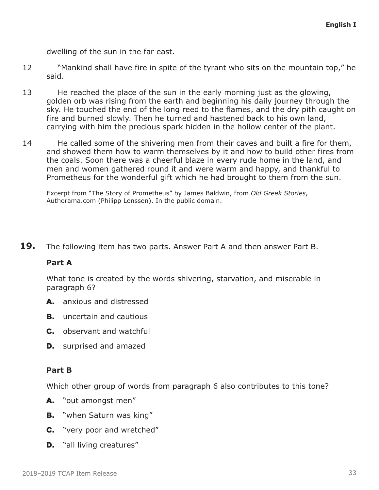dwelling of the sun in the far east.

- 12 "Mankind shall have fire in spite of the tyrant who sits on the mountain top," he said.
- 13 He reached the place of the sun in the early morning just as the glowing, golden orb was rising from the earth and beginning his daily journey through the sky. He touched the end of the long reed to the flames, and the dry pith caught on fire and burned slowly. Then he turned and hastened back to his own land, carrying with him the precious spark hidden in the hollow center of the plant.
- 14 He called some of the shivering men from their caves and built a fire for them, and showed them how to warm themselves by it and how to build other fires from the coals. Soon there was a cheerful blaze in every rude home in the land, and men and women gathered round it and were warm and happy, and thankful to Prometheus for the wonderful gift which he had brought to them from the sun.

Excerpt from "The Story of Prometheus" by James Baldwin, from *Old Greek Stories*, Authorama.com (Philipp Lenssen). In the public domain.

The following item has two parts. Answer Part A and then answer Part B. **19.**

## **Part A**

What tone is created by the words shivering, starvation, and miserable in paragraph 6?

- A. anxious and distressed
- **B.** uncertain and cautious
- C. observant and watchful
- **D.** surprised and amazed

## **Part B**

Which other group of words from paragraph 6 also contributes to this tone?

- A. "out amongst men"
- **B.** "when Saturn was king"
- **C.** "very poor and wretched"
- **D.** "all living creatures"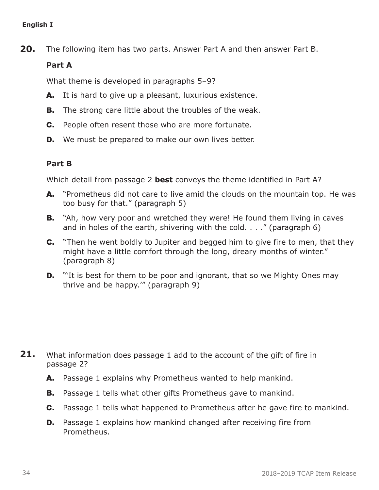The following item has two parts. Answer Part A and then answer Part B. **20.**

#### **Part A**

What theme is developed in paragraphs 5–9?

- A. It is hard to give up a pleasant, luxurious existence.
- **B.** The strong care little about the troubles of the weak.
- **C.** People often resent those who are more fortunate.
- **D.** We must be prepared to make our own lives better.

# **Part B**

Which detail from passage 2 **best** conveys the theme identified in Part A?

- A. "Prometheus did not care to live amid the clouds on the mountain top. He was too busy for that." (paragraph 5)
- **B.** "Ah, how very poor and wretched they were! He found them living in caves and in holes of the earth, shivering with the cold. . . ." (paragraph 6)
- **C.** "Then he went boldly to Jupiter and begged him to give fire to men, that they might have a little comfort through the long, dreary months of winter." (paragraph 8)
- **D.** "It is best for them to be poor and ignorant, that so we Mighty Ones may thrive and be happy.'" (paragraph 9)

- What information does passage 1 add to the account of the gift of fire in passage 2? **21.**
	- A. Passage 1 explains why Prometheus wanted to help mankind.
	- **B.** Passage 1 tells what other gifts Prometheus gave to mankind.
	- **C.** Passage 1 tells what happened to Prometheus after he gave fire to mankind.
	- **D.** Passage 1 explains how mankind changed after receiving fire from Prometheus.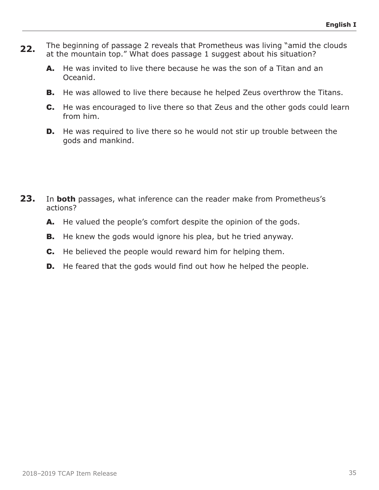- The beginning of passage 2 reveals that Prometheus was living "amid the clouds at the mountain top." What does passage 1 suggest about his situation? **22.**
	- A. He was invited to live there because he was the son of a Titan and an Oceanid.
	- **B.** He was allowed to live there because he helped Zeus overthrow the Titans.
	- **C.** He was encouraged to live there so that Zeus and the other gods could learn from him.
	- **D.** He was required to live there so he would not stir up trouble between the gods and mankind.
- In **both** passages, what inference can the reader make from Prometheus's actions? **23.**
	- A. He valued the people's comfort despite the opinion of the gods.
	- **B.** He knew the gods would ignore his plea, but he tried anyway.
	- C. He believed the people would reward him for helping them.
	- **D.** He feared that the gods would find out how he helped the people.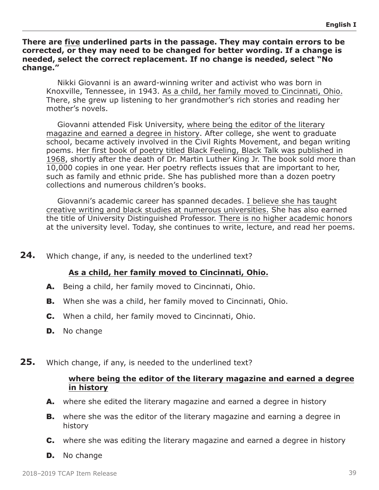**There are five underlined parts in the passage. They may contain errors to be corrected, or they may need to be changed for better wording. If a change is needed, select the correct replacement. If no change is needed, select "No change."**

Nikki Giovanni is an award-winning writer and activist who was born in Knoxville, Tennessee, in 1943. As a child, her family moved to Cincinnati, Ohio. There, she grew up listening to her grandmother's rich stories and reading her mother's novels.

Giovanni attended Fisk University, where being the editor of the literary magazine and earned a degree in history. After college, she went to graduate school, became actively involved in the Civil Rights Movement, and began writing poems. Her first book of poetry titled Black Feeling, Black Talk was published in 1968, shortly after the death of Dr. Martin Luther King Jr. The book sold more than  $10,000$  copies in one year. Her poetry reflects issues that are important to her, such as family and ethnic pride. She has published more than a dozen poetry collections and numerous children's books.

Giovanni's academic career has spanned decades. I believe she has taught creative writing and black studies at numerous universities. She has also earned the title of University Distinguished Professor. There is no higher academic honors at the university level. Today, she continues to write, lecture, and read her poems.

Which change, if any, is needed to the underlined text? **24.**

## **As a child, her family moved to Cincinnati, Ohio.**

- A. Being a child, her family moved to Cincinnati, Ohio.
- **B.** When she was a child, her family moved to Cincinnati, Ohio.
- **C.** When a child, her family moved to Cincinnati, Ohio.
- **D.** No change
- Which change, if any, is needed to the underlined text? **25.**

## **where being the editor of the literary magazine and earned a degree in history**

- A. where she edited the literary magazine and earned a degree in history
- **B.** where she was the editor of the literary magazine and earning a degree in history
- C. where she was editing the literary magazine and earned a degree in history
- **D.** No change